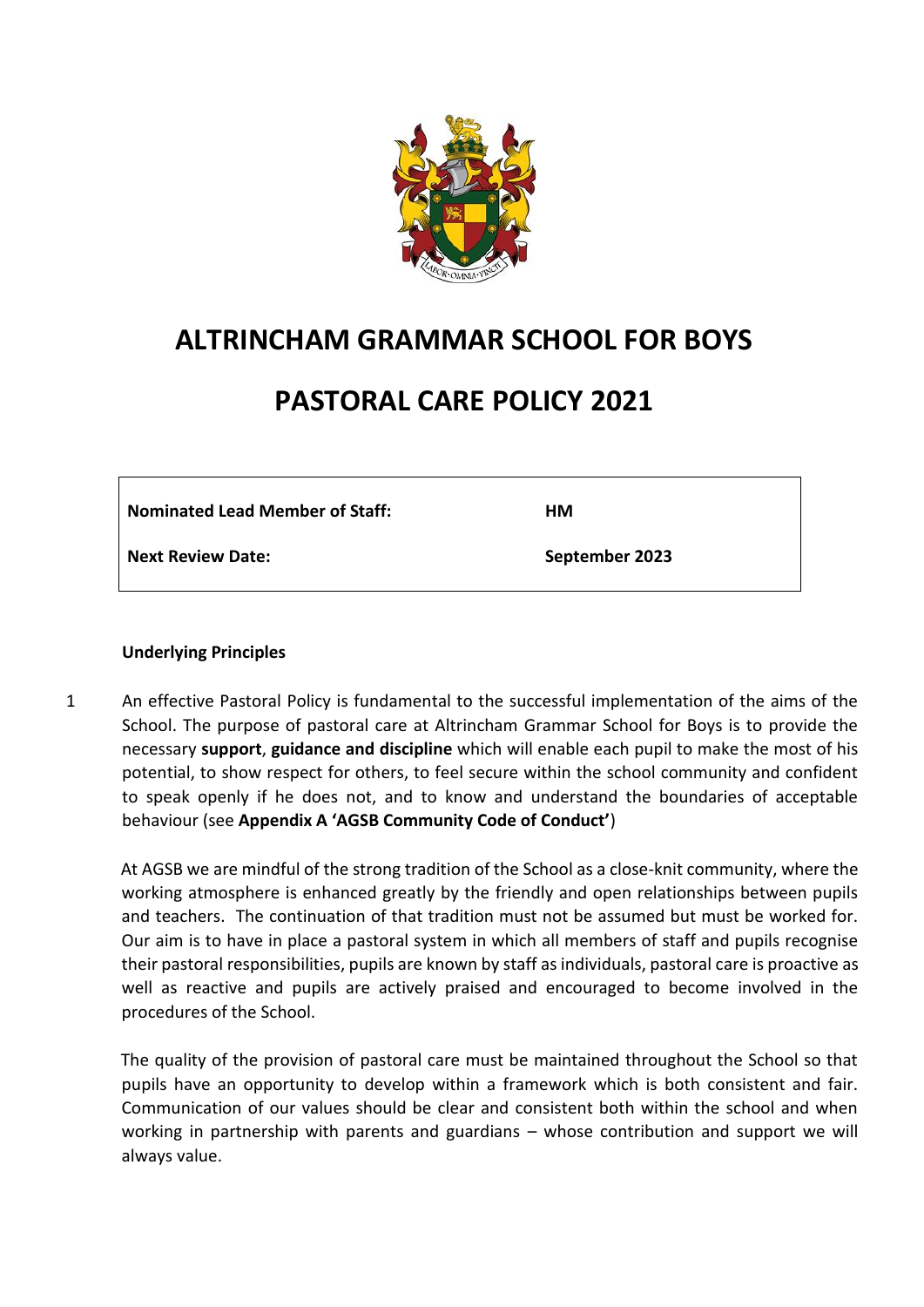

# **ALTRINCHAM GRAMMAR SCHOOL FOR BOYS**

# **PASTORAL CARE POLICY 2021**

| <b>Nominated Lead Member of Staff:</b> | HМ             |
|----------------------------------------|----------------|
| <b>Next Review Date:</b>               | September 2023 |

## **Underlying Principles**

1 An effective Pastoral Policy is fundamental to the successful implementation of the aims of the School. The purpose of pastoral care at Altrincham Grammar School for Boys is to provide the necessary **support**, **guidance and discipline** which will enable each pupil to make the most of his potential, to show respect for others, to feel secure within the school community and confident to speak openly if he does not, and to know and understand the boundaries of acceptable behaviour (see **Appendix A 'AGSB Community Code of Conduct'**)

At AGSB we are mindful of the strong tradition of the School as a close-knit community, where the working atmosphere is enhanced greatly by the friendly and open relationships between pupils and teachers. The continuation of that tradition must not be assumed but must be worked for. Our aim is to have in place a pastoral system in which all members of staff and pupils recognise their pastoral responsibilities, pupils are known by staff as individuals, pastoral care is proactive as well as reactive and pupils are actively praised and encouraged to become involved in the procedures of the School.

The quality of the provision of pastoral care must be maintained throughout the School so that pupils have an opportunity to develop within a framework which is both consistent and fair. Communication of our values should be clear and consistent both within the school and when working in partnership with parents and guardians – whose contribution and support we will always value.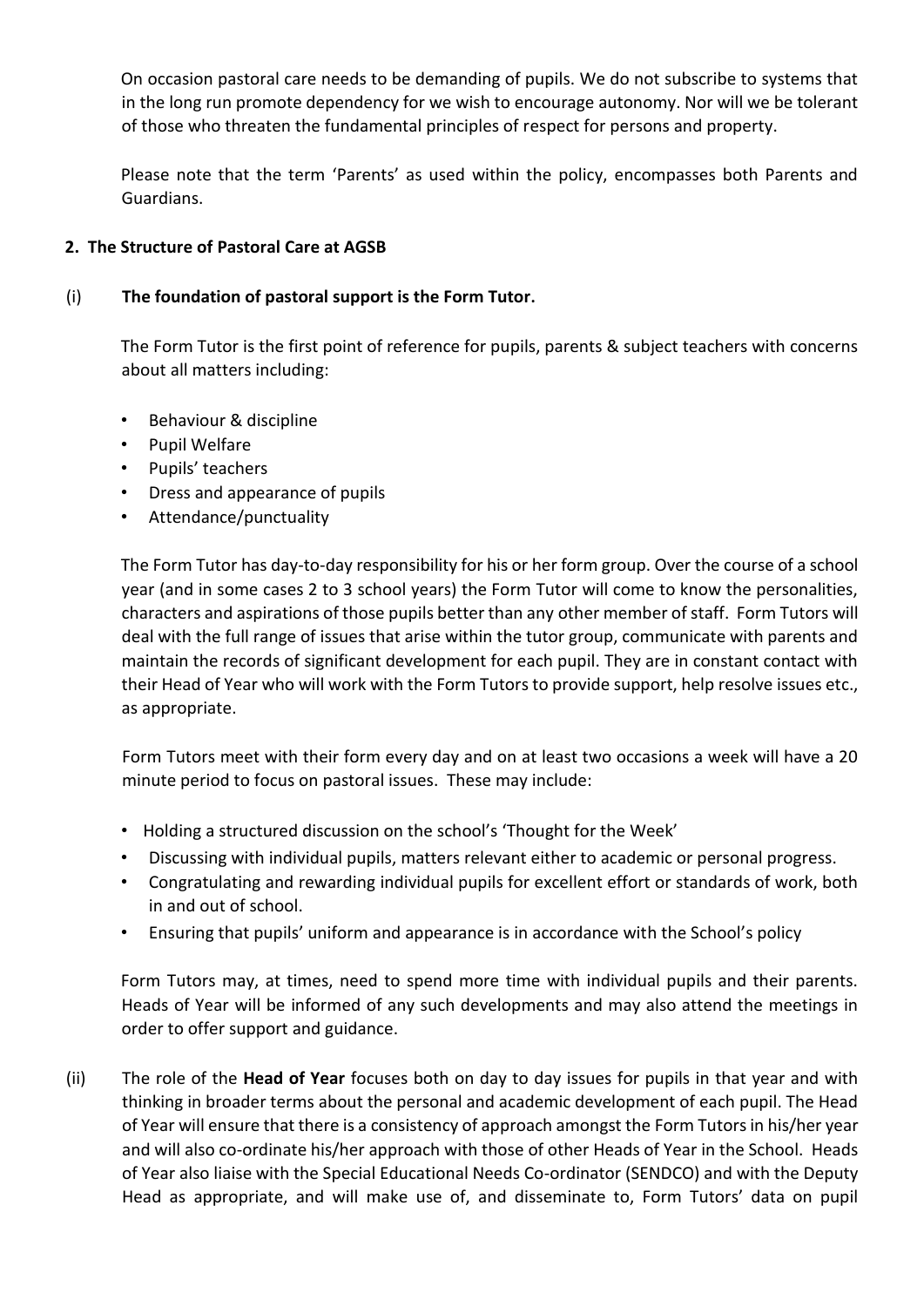On occasion pastoral care needs to be demanding of pupils. We do not subscribe to systems that in the long run promote dependency for we wish to encourage autonomy. Nor will we be tolerant of those who threaten the fundamental principles of respect for persons and property.

Please note that the term 'Parents' as used within the policy, encompasses both Parents and Guardians.

## **2. The Structure of Pastoral Care at AGSB**

## (i) **The foundation of pastoral support is the Form Tutor.**

The Form Tutor is the first point of reference for pupils, parents & subject teachers with concerns about all matters including:

- Behaviour & discipline
- Pupil Welfare
- Pupils' teachers
- Dress and appearance of pupils
- Attendance/punctuality

The Form Tutor has day-to-day responsibility for his or her form group. Over the course of a school year (and in some cases 2 to 3 school years) the Form Tutor will come to know the personalities, characters and aspirations of those pupils better than any other member of staff. Form Tutors will deal with the full range of issues that arise within the tutor group, communicate with parents and maintain the records of significant development for each pupil. They are in constant contact with their Head of Year who will work with the Form Tutors to provide support, help resolve issues etc., as appropriate.

Form Tutors meet with their form every day and on at least two occasions a week will have a 20 minute period to focus on pastoral issues. These may include:

- Holding a structured discussion on the school's 'Thought for the Week'
- Discussing with individual pupils, matters relevant either to academic or personal progress.
- Congratulating and rewarding individual pupils for excellent effort or standards of work, both in and out of school.
- Ensuring that pupils' uniform and appearance is in accordance with the School's policy

Form Tutors may, at times, need to spend more time with individual pupils and their parents. Heads of Year will be informed of any such developments and may also attend the meetings in order to offer support and guidance.

(ii) The role of the **Head of Year** focuses both on day to day issues for pupils in that year and with thinking in broader terms about the personal and academic development of each pupil. The Head of Year will ensure that there is a consistency of approach amongst the Form Tutors in his/her year and will also co-ordinate his/her approach with those of other Heads of Year in the School. Heads of Year also liaise with the Special Educational Needs Co-ordinator (SENDCO) and with the Deputy Head as appropriate, and will make use of, and disseminate to, Form Tutors' data on pupil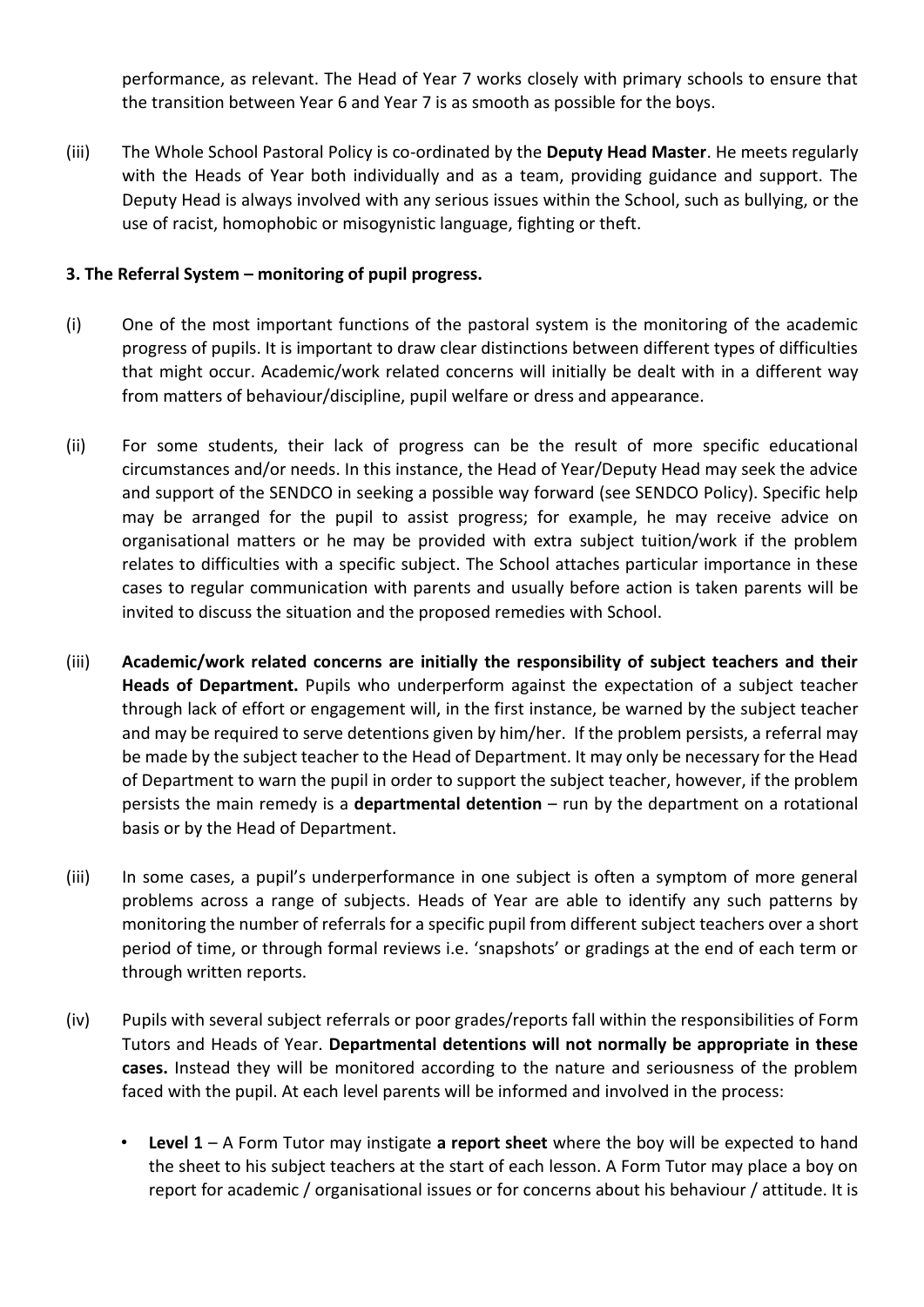performance, as relevant. The Head of Year 7 works closely with primary schools to ensure that the transition between Year 6 and Year 7 is as smooth as possible for the boys.

(iii) The Whole School Pastoral Policy is co-ordinated by the **Deputy Head Master**. He meets regularly with the Heads of Year both individually and as a team, providing guidance and support. The Deputy Head is always involved with any serious issues within the School, such as bullying, or the use of racist, homophobic or misogynistic language, fighting or theft.

## **3. The Referral System – monitoring of pupil progress.**

- (i) One of the most important functions of the pastoral system is the monitoring of the academic progress of pupils. It is important to draw clear distinctions between different types of difficulties that might occur. Academic/work related concerns will initially be dealt with in a different way from matters of behaviour/discipline, pupil welfare or dress and appearance.
- (ii) For some students, their lack of progress can be the result of more specific educational circumstances and/or needs. In this instance, the Head of Year/Deputy Head may seek the advice and support of the SENDCO in seeking a possible way forward (see SENDCO Policy). Specific help may be arranged for the pupil to assist progress; for example, he may receive advice on organisational matters or he may be provided with extra subject tuition/work if the problem relates to difficulties with a specific subject. The School attaches particular importance in these cases to regular communication with parents and usually before action is taken parents will be invited to discuss the situation and the proposed remedies with School.
- (iii) **Academic/work related concerns are initially the responsibility of subject teachers and their Heads of Department.** Pupils who underperform against the expectation of a subject teacher through lack of effort or engagement will, in the first instance, be warned by the subject teacher and may be required to serve detentions given by him/her. If the problem persists, a referral may be made by the subject teacher to the Head of Department. It may only be necessary for the Head of Department to warn the pupil in order to support the subject teacher, however, if the problem persists the main remedy is a **departmental detention** – run by the department on a rotational basis or by the Head of Department.
- (iii) In some cases, a pupil's underperformance in one subject is often a symptom of more general problems across a range of subjects. Heads of Year are able to identify any such patterns by monitoring the number of referrals for a specific pupil from different subject teachers over a short period of time, or through formal reviews i.e. 'snapshots' or gradings at the end of each term or through written reports.
- (iv) Pupils with several subject referrals or poor grades/reports fall within the responsibilities of Form Tutors and Heads of Year. **Departmental detentions will not normally be appropriate in these cases.** Instead they will be monitored according to the nature and seriousness of the problem faced with the pupil. At each level parents will be informed and involved in the process:
	- **Level 1** A Form Tutor may instigate **a report sheet** where the boy will be expected to hand the sheet to his subject teachers at the start of each lesson. A Form Tutor may place a boy on report for academic / organisational issues or for concerns about his behaviour / attitude. It is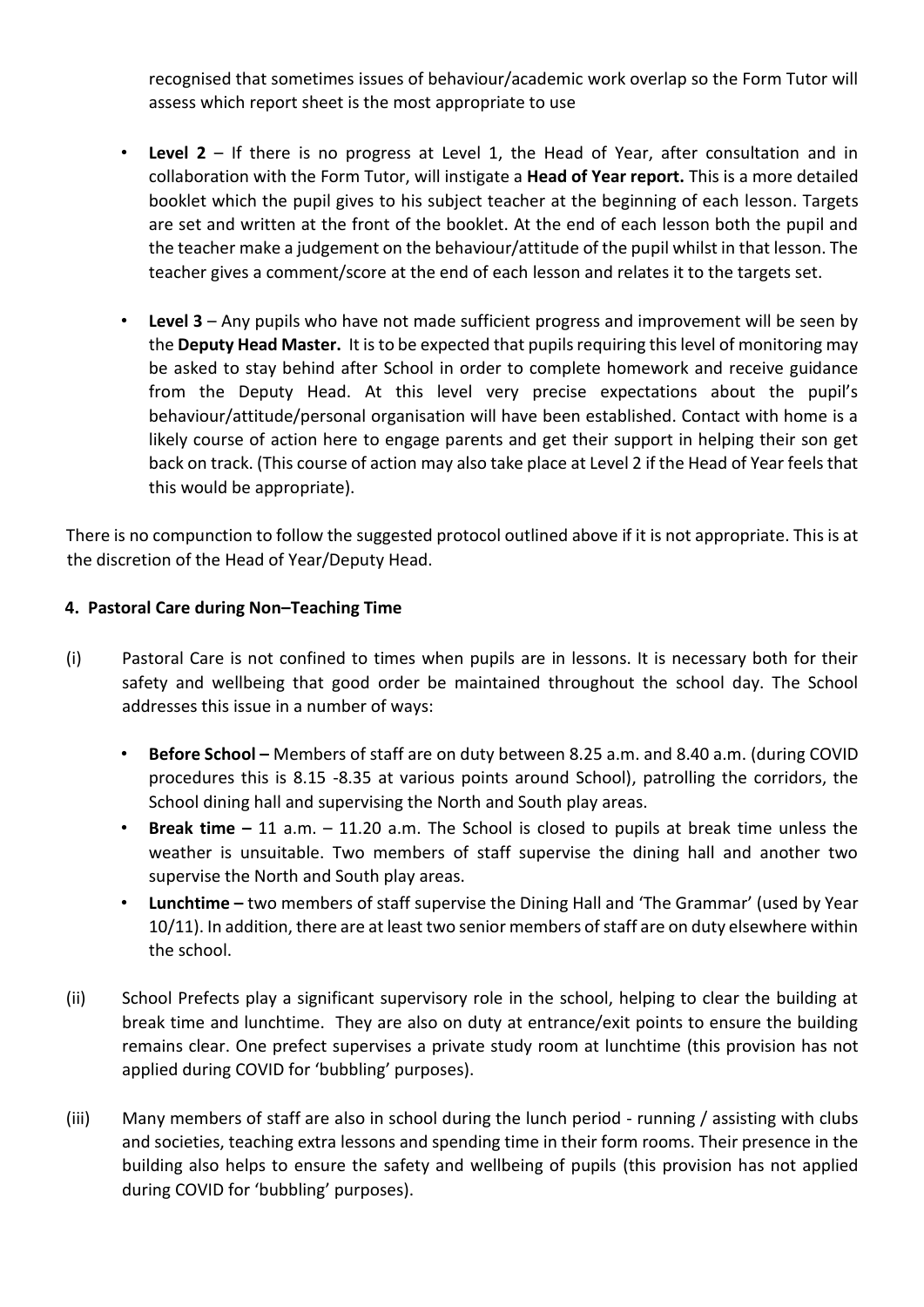recognised that sometimes issues of behaviour/academic work overlap so the Form Tutor will assess which report sheet is the most appropriate to use

- **Level 2** If there is no progress at Level 1, the Head of Year, after consultation and in collaboration with the Form Tutor, will instigate a **Head of Year report.** This is a more detailed booklet which the pupil gives to his subject teacher at the beginning of each lesson. Targets are set and written at the front of the booklet. At the end of each lesson both the pupil and the teacher make a judgement on the behaviour/attitude of the pupil whilst in that lesson. The teacher gives a comment/score at the end of each lesson and relates it to the targets set.
- **Level 3** Any pupils who have not made sufficient progress and improvement will be seen by the **Deputy Head Master.** It is to be expected that pupils requiring this level of monitoring may be asked to stay behind after School in order to complete homework and receive guidance from the Deputy Head. At this level very precise expectations about the pupil's behaviour/attitude/personal organisation will have been established. Contact with home is a likely course of action here to engage parents and get their support in helping their son get back on track. (This course of action may also take place at Level 2 if the Head of Year feels that this would be appropriate).

There is no compunction to follow the suggested protocol outlined above if it is not appropriate. This is at the discretion of the Head of Year/Deputy Head.

## **4. Pastoral Care during Non–Teaching Time**

- (i) Pastoral Care is not confined to times when pupils are in lessons. It is necessary both for their safety and wellbeing that good order be maintained throughout the school day. The School addresses this issue in a number of ways:
	- Before School Members of staff are on duty between 8.25 a.m. and 8.40 a.m. (during COVID procedures this is 8.15 -8.35 at various points around School), patrolling the corridors, the School dining hall and supervising the North and South play areas.
	- **Break time –** 11 a.m. 11.20 a.m. The School is closed to pupils at break time unless the weather is unsuitable. Two members of staff supervise the dining hall and another two supervise the North and South play areas.
	- **Lunchtime –** two members of staff supervise the Dining Hall and 'The Grammar' (used by Year 10/11). In addition, there are at least two senior members of staff are on duty elsewhere within the school.
- (ii) School Prefects play a significant supervisory role in the school, helping to clear the building at break time and lunchtime. They are also on duty at entrance/exit points to ensure the building remains clear. One prefect supervises a private study room at lunchtime (this provision has not applied during COVID for 'bubbling' purposes).
- (iii) Many members of staff are also in school during the lunch period running / assisting with clubs and societies, teaching extra lessons and spending time in their form rooms. Their presence in the building also helps to ensure the safety and wellbeing of pupils (this provision has not applied during COVID for 'bubbling' purposes).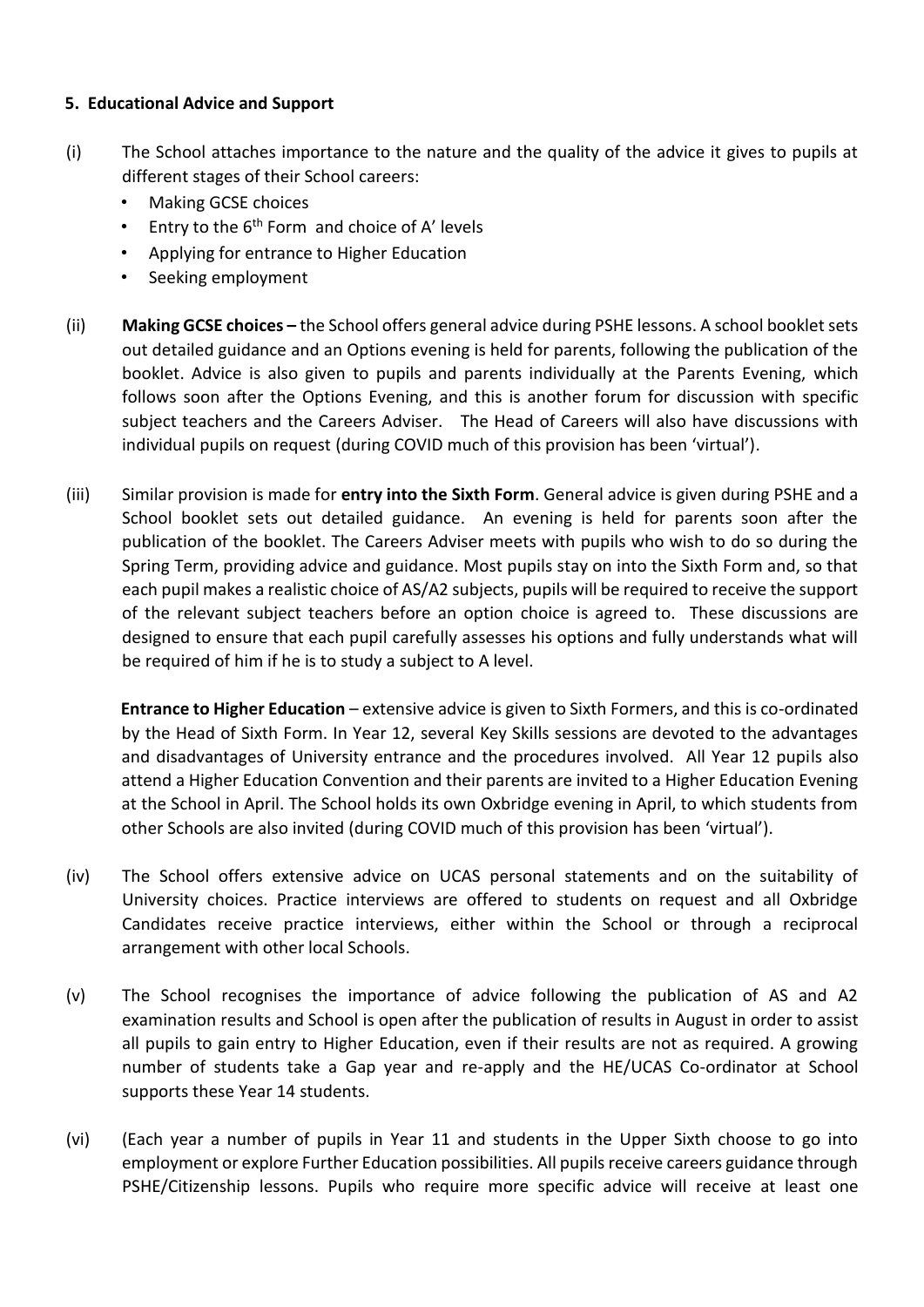#### **5. Educational Advice and Support**

- (i) The School attaches importance to the nature and the quality of the advice it gives to pupils at different stages of their School careers:
	- Making GCSE choices
	- Entry to the  $6<sup>th</sup>$  Form and choice of A' levels
	- Applying for entrance to Higher Education
	- Seeking employment
- (ii) **Making GCSE choices –** the School offers general advice during PSHE lessons. A school booklet sets out detailed guidance and an Options evening is held for parents, following the publication of the booklet. Advice is also given to pupils and parents individually at the Parents Evening, which follows soon after the Options Evening, and this is another forum for discussion with specific subject teachers and the Careers Adviser. The Head of Careers will also have discussions with individual pupils on request (during COVID much of this provision has been 'virtual').
- (iii) Similar provision is made for **entry into the Sixth Form**. General advice is given during PSHE and a School booklet sets out detailed guidance. An evening is held for parents soon after the publication of the booklet. The Careers Adviser meets with pupils who wish to do so during the Spring Term, providing advice and guidance. Most pupils stay on into the Sixth Form and, so that each pupil makes a realistic choice of AS/A2 subjects, pupils will be required to receive the support of the relevant subject teachers before an option choice is agreed to. These discussions are designed to ensure that each pupil carefully assesses his options and fully understands what will be required of him if he is to study a subject to A level.

**Entrance to Higher Education** – extensive advice is given to Sixth Formers, and this is co-ordinated by the Head of Sixth Form. In Year 12, several Key Skills sessions are devoted to the advantages and disadvantages of University entrance and the procedures involved. All Year 12 pupils also attend a Higher Education Convention and their parents are invited to a Higher Education Evening at the School in April. The School holds its own Oxbridge evening in April, to which students from other Schools are also invited (during COVID much of this provision has been 'virtual').

- (iv) The School offers extensive advice on UCAS personal statements and on the suitability of University choices. Practice interviews are offered to students on request and all Oxbridge Candidates receive practice interviews, either within the School or through a reciprocal arrangement with other local Schools.
- (v) The School recognises the importance of advice following the publication of AS and A2 examination results and School is open after the publication of results in August in order to assist all pupils to gain entry to Higher Education, even if their results are not as required. A growing number of students take a Gap year and re-apply and the HE/UCAS Co-ordinator at School supports these Year 14 students.
- (vi) (Each year a number of pupils in Year 11 and students in the Upper Sixth choose to go into employment or explore Further Education possibilities. All pupils receive careers guidance through PSHE/Citizenship lessons. Pupils who require more specific advice will receive at least one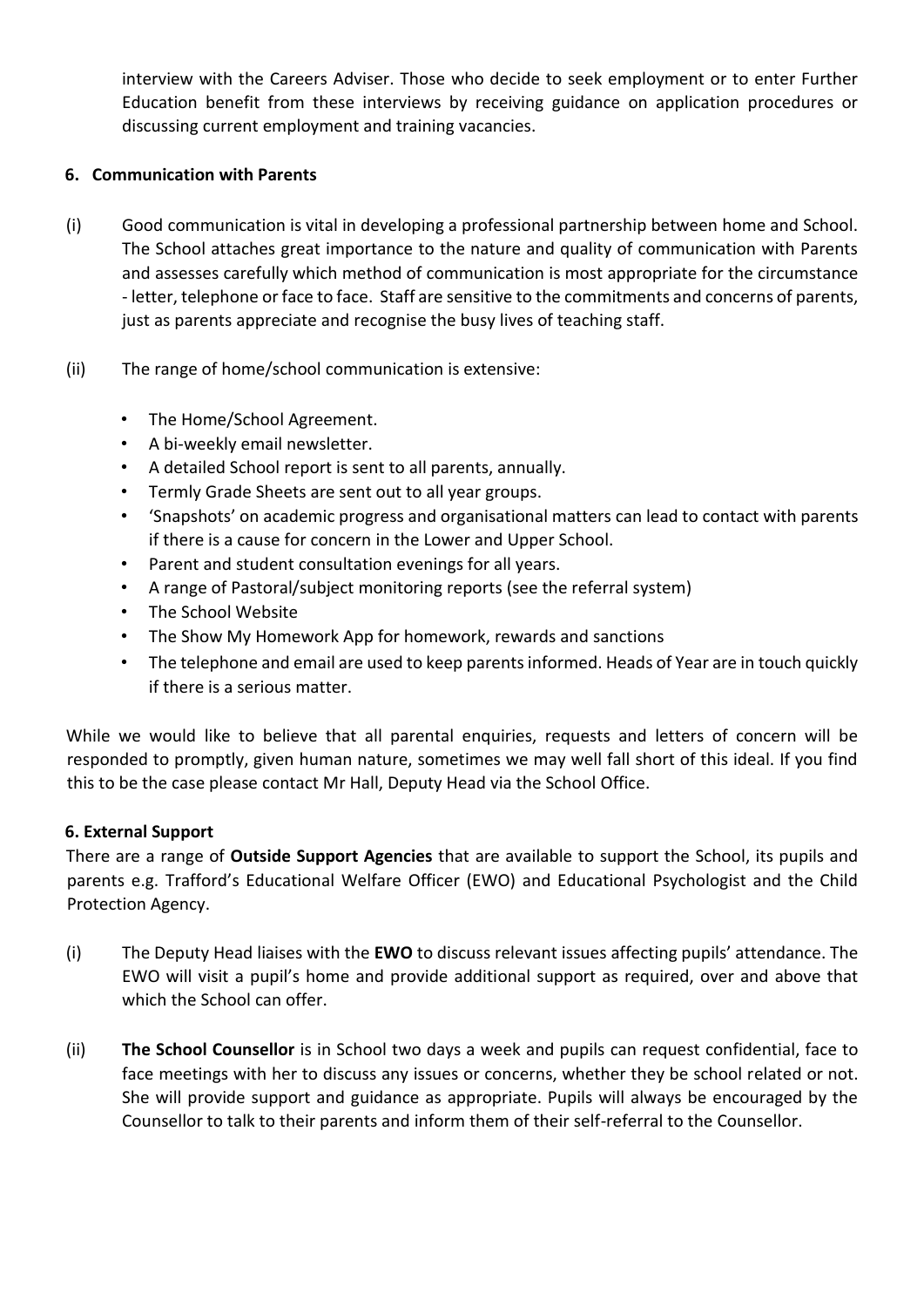interview with the Careers Adviser. Those who decide to seek employment or to enter Further Education benefit from these interviews by receiving guidance on application procedures or discussing current employment and training vacancies.

#### **6. Communication with Parents**

- (i) Good communication is vital in developing a professional partnership between home and School. The School attaches great importance to the nature and quality of communication with Parents and assesses carefully which method of communication is most appropriate for the circumstance - letter, telephone or face to face. Staff are sensitive to the commitments and concerns of parents, just as parents appreciate and recognise the busy lives of teaching staff.
- (ii) The range of home/school communication is extensive:
	- The Home/School Agreement.
	- A bi-weekly email newsletter.
	- A detailed School report is sent to all parents, annually.
	- Termly Grade Sheets are sent out to all year groups.
	- 'Snapshots' on academic progress and organisational matters can lead to contact with parents if there is a cause for concern in the Lower and Upper School.
	- Parent and student consultation evenings for all years.
	- A range of Pastoral/subject monitoring reports (see the referral system)
	- The School Website
	- The Show My Homework App for homework, rewards and sanctions
	- The telephone and email are used to keep parents informed. Heads of Year are in touch quickly if there is a serious matter.

While we would like to believe that all parental enquiries, requests and letters of concern will be responded to promptly, given human nature, sometimes we may well fall short of this ideal. If you find this to be the case please contact Mr Hall, Deputy Head via the School Office.

#### **6. External Support**

There are a range of **Outside Support Agencies** that are available to support the School, its pupils and parents e.g. Trafford's Educational Welfare Officer (EWO) and Educational Psychologist and the Child Protection Agency.

- (i) The Deputy Head liaises with the **EWO** to discuss relevant issues affecting pupils' attendance. The EWO will visit a pupil's home and provide additional support as required, over and above that which the School can offer.
- (ii) **The School Counsellor** is in School two days a week and pupils can request confidential, face to face meetings with her to discuss any issues or concerns, whether they be school related or not. She will provide support and guidance as appropriate. Pupils will always be encouraged by the Counsellor to talk to their parents and inform them of their self-referral to the Counsellor.